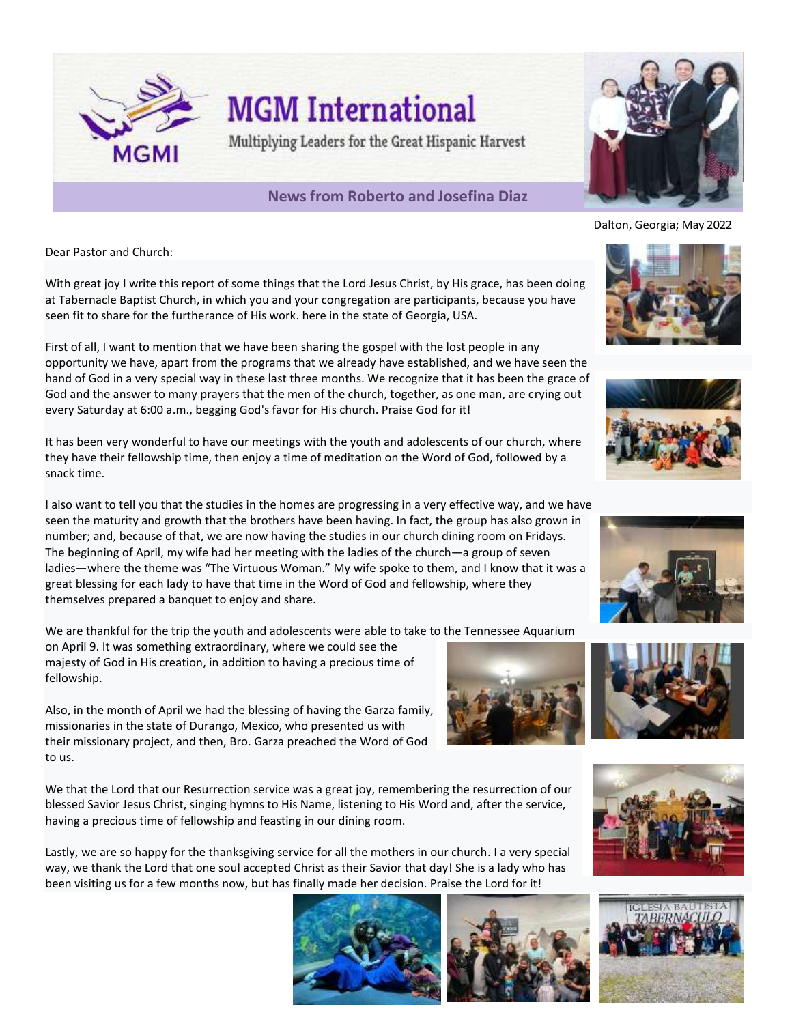

Dear Pastor and Church:

With great joy I write this report of some things that the Lord Jesus Christ, by His grace, has been doing at Tabernacle Baptist Church, in which you and your congregation are participants, because you have seen fit to share for the furtherance of His work. here in the state of Georgia, USA.

First of all, I want to mention that we have been sharing the gospel with the lost people in any opportunity we have, apart from the programs that we already have established, and we have seen the hand of God in a very special way in these last three months. We recognize that it has been the grace of God and the answer to many prayers that the men of the church, together, as one man, are crying out every Saturday at 6:00 a.m., begging God's favor for His church. Praise God for it!

It has been very wonderful to have our meetings with the youth and adolescents of our church, where they have their fellowship time, then enjoy a time of meditation on the Word of God, followed by a snack time.

I also want to tell you that the studies in the homes are progressing in a very effective way, and we have seen the maturity and growth that the brothers have been having. In fact, the group has also grown in number; and, because of that, we are now having the studies in our church dining room on Fridays. The beginning of April, my wife had her meeting with the ladies of the church—a group of seven ladies—where the theme was "The Virtuous Woman." My wife spoke to them, and I know that it was a great blessing for each lady to have that time in the Word of God and fellowship, where they themselves prepared a banquet to enjoy and share.

We are thankful for the trip the youth and adolescents were able to take to the Tennessee Aquarium

on April 9. It was something extraordinary, where we could see the majesty of God in His creation, in addition to having a precious time of fellowship.

Also, in the month of April we had the blessing of having the Garza family, missionaries in the state of Durango, Mexico, who presented us with their missionary project, and then, Bro. Garza preached the Word of God to us.

We that the Lord that our Resurrection service was a great joy, remembering the resurrection of our blessed Savior Jesus Christ, singing hymns to His Name, listening to His Word and, after the service, having a precious time of fellowship and feasting in our dining room.

Lastly, we are so happy for the thanksgiving service for all the mothers in our church. I a very special way, we thank the Lord that one soul accepted Christ as their Savior that day! She is a lady who has been visiting us for a few months now, but has finally made her decision. Praise the Lord for it!

















Dalton, Georgia; May 2022